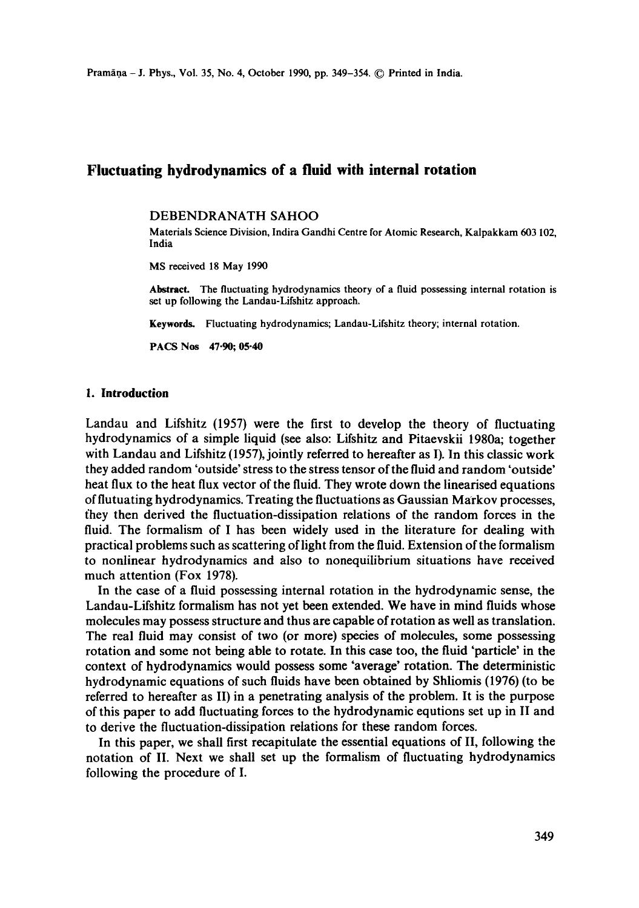# **Fluctuating hydrodynamics of a fluid with internal rotation**

#### DEBENDRANATH SAHOO

Materials Science Division, Indira Gandhi Centre for Atomic Research, Kalpakkam 603 102, India

MS received 18 May 1990

Abstract. The fluctuating hydrodynamics theory of a fluid possessing internal rotation is set up following the Landau-Lifshitz approach.

Keywords. Fluctuating hydrodynamics; Landau-Lifshitz theory; internal rotation.

**PACS Nos 47-90; 05-40** 

### **I. Introduction**

Landau and Lifshitz (1957) were the first to develop the theory of fluctuating hydrodynamics of a simple liquid (see also: Lifshitz and Pitaevskii 1980a; together with Landau and Lifshitz (1957), jointly referred to hereafter as I). In this classic work they added random 'outside' stress to the stress tensor of the fluid and random 'outside' heat flux to the heat flux vector of the fluid. They wrote down the linearised equations of flutuating hydrodynamics. Treating the fluctuations as Gaussian Markov processes, fhey then derived the fluctuation-dissipation relations of the random forces in the fluid. The formalism of I has been widely used in the literature for dealing with practical problems such as scattering of light from the fluid. Extension of the formalism to nonlinear hydrodynamics and also to nonequilibrium situations have received much attention (Fox 1978).

In the case of a fluid possessing internal rotation in the hydrodynamic sense, the Landau-Lifshitz formalism has not yet been extended. We have in mind fluids whose molecules may possess structure and thus are capable of rotation as well as translation. The real fluid may consist of two (or more) species of molecules, some possessing rotation and some not being able to rotate. In this case too, the fluid 'particle' in the context of hydrodynamics would possess some "average' rotation. The deterministic hydrodynamic equations of such fluids have been obtained by Shliomis (1976) (to be referred to hereafter as II) in a penetrating analysis of the problem. It is the purpose of this paper to add fluctuating forces to the hydrodynamic equtions set up in II and to derive the fluctuation-dissipation relations for these random forces.

In this paper, we shall first recapitulate the essential equations of II, following the notation of II. Next we shall set up the formalism of fluctuating hydrodynamics following the procedure of I.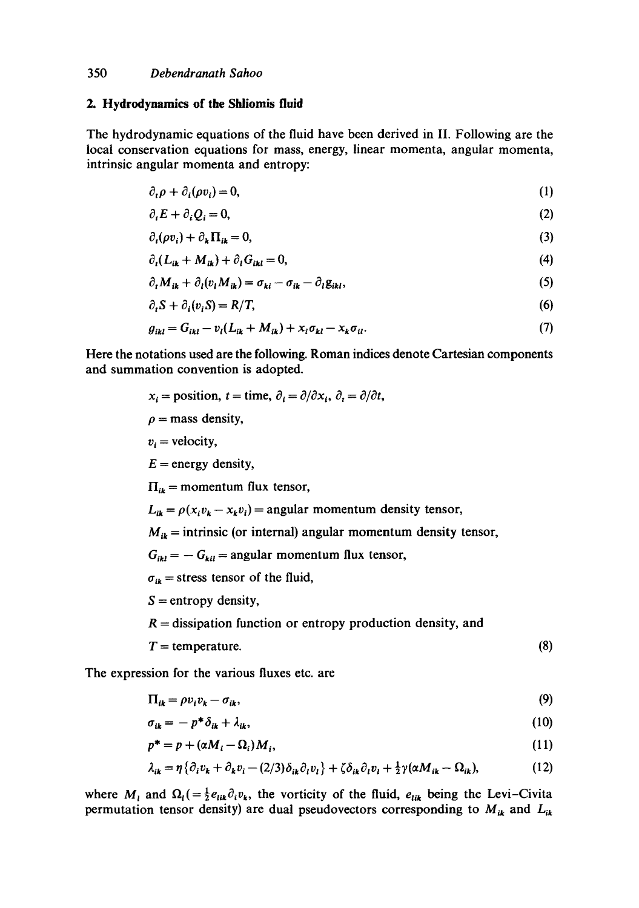#### **2. Hydrodynamics of the Shliomis fluid**

The hydrodynamic equations of the fluid have been derived in II. Following are the local conservation equations for mass, energy, linear momenta, angular momenta, intrinsic angular momenta and entropy:

$$
\partial_t \rho + \partial_i (\rho v_i) = 0, \tag{1}
$$

$$
\partial_t E + \partial_i Q_i = 0,\tag{2}
$$

$$
\partial_t(\rho v_i) + \partial_k \Pi_{ik} = 0,\tag{3}
$$

$$
\partial_t (L_{ik} + M_{ik}) + \partial_t G_{ikl} = 0, \qquad (4)
$$

$$
\partial_t M_{ik} + \partial_l (v_l M_{ik}) = \sigma_{ki} - \sigma_{ik} - \partial_l g_{ikl}, \qquad (5)
$$

$$
\partial_t S + \partial_i (v_i S) = R/T,\tag{6}
$$

$$
g_{ikl} = G_{ikl} - v_l (L_{ik} + M_{ik}) + x_i \sigma_{kl} - x_k \sigma_{il}. \qquad (7)
$$

Here the notations used are the following. Roman indices denote Cartesian components and summation convention is adopted.

- $x_i =$  position,  $t =$  time,  $\partial_i = \partial/\partial x_i$ ,  $\partial_i = \partial/\partial t$ ,
- $\rho$  = mass density,
- $v_i$  = velocity,
- $E =$  energy density,

 $\Pi_{ik}$  = momentum flux tensor,

 $L_{ik} = \rho(x_i v_k - x_k v_i) =$  angular momentum density tensor,

 $M_{ik}$  = intrinsic (or internal) angular momentum density tensor,

 $G_{ikl} = -G_{kil} = \text{angular momentum flux tensor},$ 

 $\sigma_{ik}$  = stress tensor of the fluid,

- $S =$  entropy density,
- $R =$  dissipation function or entropy production density, and
- $T =$  temperature. (8)

The expression for the various fluxes etc. are

$$
\Pi_{ik} = \rho v_i v_k - \sigma_{ik},\tag{9}
$$

$$
\sigma_{ik} = -p^* \delta_{ik} + \lambda_{ik}, \qquad (10)
$$

$$
p^* = p + (\alpha M_i - \Omega_i) M_i, \tag{11}
$$

$$
\lambda_{ik} = \eta \left\{ \partial_i v_k + \partial_k v_i - (2/3) \delta_{ik} \partial_i v_i \right\} + \zeta \delta_{ik} \partial_i v_i + \frac{1}{2} \gamma (\alpha M_{ik} - \Omega_{ik}), \tag{12}
$$

where  $M_i$  and  $\Omega_i$ ( $=\frac{1}{2}e_{lik}\partial_i v_k$ , the vorticity of the fluid,  $e_{lik}$  being the Levi-Civita permutation tensor density) are dual pseudovectors corresponding to  $M_{ik}$  and  $L_{ik}$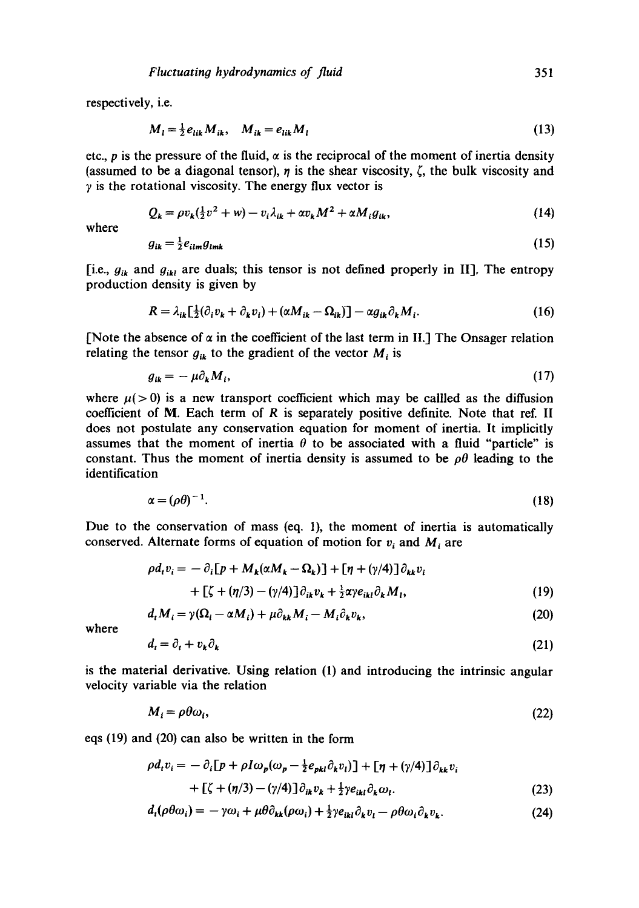respectively, i.e.

$$
M_{l} = \frac{1}{2} e_{lik} M_{ik}, \quad M_{ik} = e_{lik} M_{l}
$$
 (13)

etc.,  $p$  is the pressure of the fluid,  $\alpha$  is the reciprocal of the moment of inertia density (assumed to be a diagonal tensor),  $\eta$  is the shear viscosity,  $\zeta$ , the bulk viscosity and  $\gamma$  is the rotational viscosity. The energy flux vector is

$$
Q_k = \rho v_k(\tfrac{1}{2}v^2 + w) - v_i \lambda_{ik} + \alpha v_k M^2 + \alpha M_i g_{ik}, \qquad (14)
$$

where

$$
g_{ik} = \frac{1}{2} e_{ilm} g_{lmk} \tag{15}
$$

[i.e.,  $g_{ik}$  and  $g_{ik}$  are duals; this tensor is not defined properly in II], The entropy production density is given by

$$
R = \lambda_{ik} \left[ \frac{1}{2} (\partial_i v_k + \partial_k v_i) + (\alpha M_{ik} - \Omega_{ik}) \right] - \alpha g_{ik} \partial_k M_i. \tag{16}
$$

[Note the absence of  $\alpha$  in the coefficient of the last term in II.] The Onsager relation relating the tensor  $g_{ik}$  to the gradient of the vector  $M_i$  is

$$
g_{ik} = -\mu \partial_k M_i, \tag{17}
$$

where  $\mu$ (>0) is a new transport coefficient which may be called as the diffusion coefficient of  $M$ . Each term of  $R$  is separately positive definite. Note that ref. II does not postulate any conservation equation for moment of inertia. It implicitly assumes that the moment of inertia  $\theta$  to be associated with a fluid "particle" is constant. Thus the moment of inertia density is assumed to be  $\rho\theta$  leading to the identification

$$
\alpha = (\rho \theta)^{-1}.
$$
\n(18)

Due to the conservation of mass (eq. 1), the moment of inertia is automatically conserved. Alternate forms of equation of motion for  $v_i$  and  $M_i$  are

$$
\rho d_t v_i = - \partial_i [p + M_k (\alpha M_k - \Omega_k)] + [\eta + (\gamma/4)] \partial_{kk} v_i
$$
  
+ 
$$
[\zeta + (\eta/3) - (\gamma/4)] \partial_{ik} v_k + \frac{1}{2} \alpha \gamma e_{ikl} \partial_k M_l,
$$
 (19)

$$
d_t M_i = \gamma(\Omega_i - \alpha M_i) + \mu \partial_{kk} M_i - M_i \partial_k v_k, \qquad (20)
$$

where

$$
d_t = \partial_t + v_k \partial_k \tag{21}
$$

is the material derivative. Using relation (1) and introducing the intrinsic angular velocity variable via the relation

$$
M_i = \rho \theta \omega_i, \tag{22}
$$

eqs (19) and (20) can also be written in the form

$$
\rho d_t v_i = - \partial_i [p + \rho I \omega_p (\omega_p - \frac{1}{2} e_{pkl} \partial_k v_l)] + [\eta + (\gamma/4)] \partial_{kk} v_i
$$
  
+ 
$$
[\zeta + (\eta/3) - (\gamma/4)] \partial_{ik} v_k + \frac{1}{2} \gamma e_{ikl} \partial_k \omega_l.
$$
 (23)

$$
d_t(\rho\theta\omega_i) = -\gamma\omega_i + \mu\theta\partial_{kk}(\rho\omega_i) + \frac{1}{2}\gamma e_{ikl}\partial_k v_l - \rho\theta\omega_i\partial_k v_k. \tag{24}
$$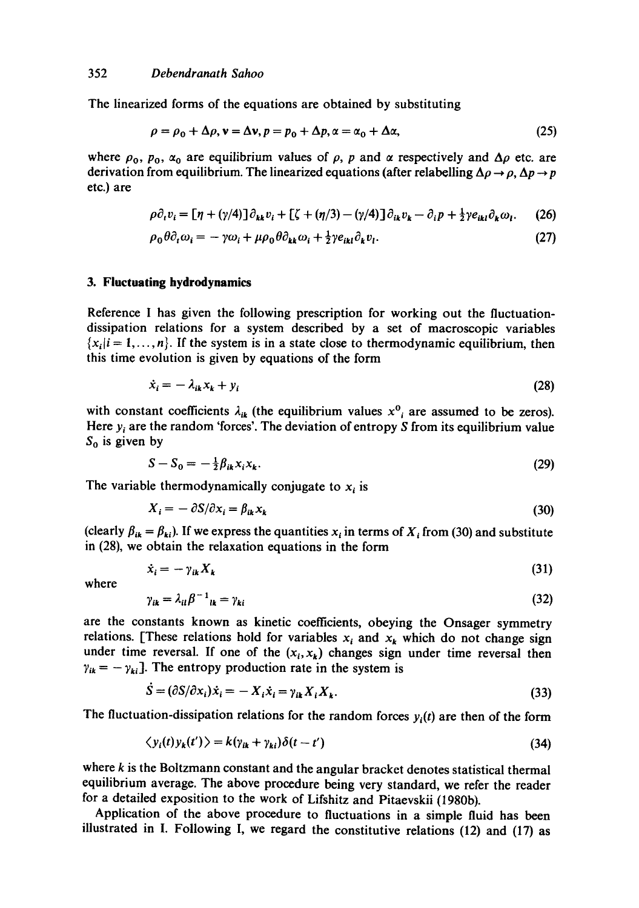The linearized forms of the equations are obtained by substituting

$$
\rho = \rho_0 + \Delta \rho, \mathbf{v} = \Delta \mathbf{v}, p = p_0 + \Delta p, \alpha = \alpha_0 + \Delta \alpha,
$$
 (25)

where  $\rho_0$ ,  $p_0$ ,  $\alpha_0$  are equilibrium values of  $\rho$ , p and  $\alpha$  respectively and  $\Delta \rho$  etc. are derivation from equilibrium. The linearized equations (after relabelling  $\Delta \rho \rightarrow \rho$ ,  $\Delta p \rightarrow p$ etc.) are

$$
\rho \partial_t v_i = \left[ \eta + (\gamma/4) \right] \partial_{kk} v_i + \left[ \zeta + (\eta/3) - (\gamma/4) \right] \partial_{ik} v_k - \partial_i p + \frac{1}{2} \gamma e_{ikl} \partial_k \omega_l. \tag{26}
$$

$$
\rho_0 \theta \partial_t \omega_i = -\gamma \omega_i + \mu \rho_0 \theta \partial_{kk} \omega_i + \frac{1}{2} \gamma e_{ikl} \partial_k v_l. \tag{27}
$$

## **3. Fluctuating hydrodynamics**

Reference I has given the following prescription for working out the fluctuationdissipation relations for a system described by a set of macroscopic variables  ${x_i | i = 1, ..., n}$ . If the system is in a state close to thermodynamic equilibrium, then this time evolution is given by equations of the form

$$
\dot{x}_i = -\lambda_{ik} x_k + y_i \tag{28}
$$

with constant coefficients  $\lambda_{ik}$  (the equilibrium values  $x^0_i$  are assumed to be zeros). Here  $y_i$  are the random 'forces'. The deviation of entropy S from its equilibrium value  $S_0$  is given by

$$
S - S_0 = -\frac{1}{2} \beta_{ik} x_i x_k. \tag{29}
$$

The variable thermodynamically conjugate to  $x_i$  is

$$
X_i = -\partial S/\partial x_i = \beta_{ik} x_k \tag{30}
$$

(clearly  $\beta_{ik} = \beta_{ki}$ ). If we express the quantities  $x_i$  in terms of  $X_i$  from (30) and substitute in (28), we obtain the relaxation equations in the form

$$
\dot{x}_i = -\gamma_{ik} X_k \tag{31}
$$

where

$$
\gamma_{ik} = \lambda_{il} \beta^{-1}_{ik} = \gamma_{ki} \tag{32}
$$

are the constants known as kinetic coefficients, obeying the Onsager symmetry relations. [These relations hold for variables  $x_i$  and  $x_k$  which do not change sign under time reversal. If one of the  $(x_i, x_k)$  changes sign under time reversal then  $\gamma_{ik} = -\gamma_{ki}$ ]. The entropy production rate in the system is

$$
S = (\partial S/\partial x_i)\dot{x}_i = -X_i\dot{x}_i = \gamma_{ik}X_iX_k.
$$
\n(33)

The fluctuation-dissipation relations for the random forces  $y_i(t)$  are then of the form

$$
\langle y_i(t)y_k(t')\rangle = k(\gamma_{ik} + \gamma_{ki})\delta(t - t')
$$
\n(34)

where k is the Boltzmann constant and the angular bracket denotes statistical thermal equilibrium average. The above procedure being very standard, we refer the reader for a detailed exposition to the work of Lifshitz and Pitaevskii (1980b).

Application of the above procedure to fluctuations in a simple fluid has been illustrated in I. Following I, we regard the constitutive relations (12) and (17) as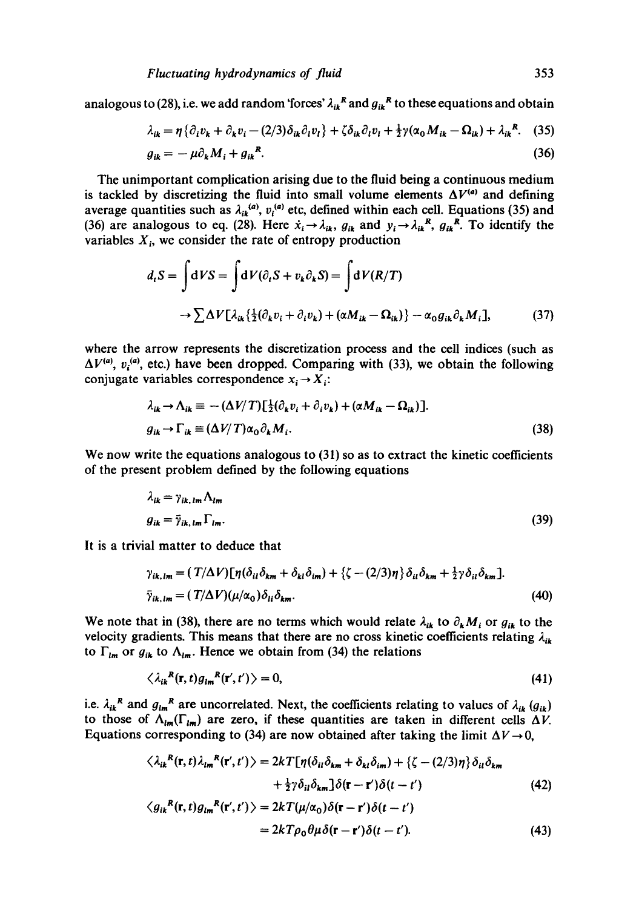analogous to (28), i.e. we add random 'forces'  $\lambda_{ik}^R$  and  $g_{ik}^R$  to these equations and obtain

$$
\lambda_{ik} = \eta \left\{ \partial_i v_k + \partial_k v_i - (2/3) \delta_{ik} \partial_i v_i \right\} + \zeta \delta_{ik} \partial_i v_i + \frac{1}{2} \gamma (\alpha_0 M_{ik} - \Omega_{ik}) + \lambda_{ik}^R. \tag{35}
$$

$$
g_{ik} = -\mu \partial_k M_i + g_{ik}^R. \tag{36}
$$

The unimportant complication arising due to the fluid being a continuous medium is tackled by discretizing the fluid into small volume elements  $\Delta V^{(a)}$  and defining average quantities such as  $\lambda_{ik}^{(a)}$ ,  $v_i^{(a)}$  etc, defined within each cell. Equations (35) and (36) are analogous to eq. (28). Here  $\dot{x}_i \rightarrow \dot{\lambda}_{ik}$ ,  $g_{ik}$  and  $y_i \rightarrow \dot{\lambda}_{ik}^R$ ,  $g_{ik}^R$ . To identify the variables  $X_i$ , we consider the rate of entropy production

$$
d_t S = \int dV S = \int dV (\partial_t S + v_k \partial_k S) = \int dV (R/T)
$$
  

$$
\rightarrow \sum \Delta V [\lambda_{ik} {\{\frac{1}{2} (\partial_k v_i + \partial_i v_k) + (\alpha M_{ik} - \Omega_{ik})\} - \alpha_0 g_{ik} \partial_k M_i]},
$$
(37)

where the arrow represents the discretization process and the cell indices (such as  $\Delta V^{(a)}$ ,  $v_i^{(a)}$ , etc.) have been dropped. Comparing with (33), we obtain the following conjugate variables correspondence  $x_i \rightarrow X_i$ :

$$
\lambda_{ik} \to \Lambda_{ik} \equiv -(\Delta V/T) \left[\frac{1}{2} (\partial_k v_i + \partial_i v_k) + (\alpha M_{ik} - \Omega_{ik})\right].
$$
  
\n
$$
g_{ik} \to \Gamma_{ik} \equiv (\Delta V/T) \alpha_0 \partial_k M_i.
$$
\n(38)

We now write the equations analogous to  $(31)$  so as to extract the kinetic coefficients of the present problem defined by the following equations

$$
\lambda_{ik} = \gamma_{ik,lm} \Lambda_{lm}
$$
  
\n
$$
g_{ik} = \bar{\gamma}_{ik,lm} \Gamma_{lm}.
$$
\n(39)

It is a trivial matter to deduce that

$$
\gamma_{ik,lm} = (T/\Delta V) [\eta (\delta_{il} \delta_{km} + \delta_{kl} \delta_{im}) + \{\zeta - (2/3)\eta\} \delta_{il} \delta_{km} + \frac{1}{2} \gamma \delta_{il} \delta_{km}].
$$
  

$$
\bar{\gamma}_{ik,lm} = (T/\Delta V) (\mu/\alpha_0) \delta_{li} \delta_{km}.
$$
 (40)

We note that in (38), there are no terms which would relate  $\lambda_{ik}$  to  $\partial_k M_i$  or  $g_{ik}$  to the velocity gradients. This means that there are no cross kinetic coefficients relating  $\lambda_{ik}$ to  $\Gamma_{lm}$  or  $g_{ik}$  to  $\Lambda_{lm}$ . Hence we obtain from (34) the relations

$$
\langle \lambda_{ik}^{R}(\mathbf{r},t)g_{lm}^{R}(\mathbf{r}',t')\rangle=0,
$$
\n(41)

i.e.  $\lambda_{ik}^{R}$  and  $g_{im}^{R}$  are uncorrelated. Next, the coefficients relating to values of  $\lambda_{ik}$  ( $g_{ik}$ ) to those of  $\Lambda_{lm}(\Gamma_{lm})$  are zero, if these quantities are taken in different cells  $\Delta V$ . Equations corresponding to (34) are now obtained after taking the limit  $\Delta V \rightarrow 0$ ,

$$
\langle \lambda_{ik}^{R}(\mathbf{r},t)\lambda_{lm}^{R}(\mathbf{r}',t')\rangle = 2kT[\eta(\delta_{il}\delta_{km} + \delta_{kl}\delta_{im}) + \{\zeta - (2/3)\eta\}\delta_{il}\delta_{km} + \frac{1}{2}\gamma\delta_{il}\delta_{km}\delta(\mathbf{r}-\mathbf{r}')\delta(t-t') \qquad (42) \langle g_{ik}^{R}(\mathbf{r},t)g_{lm}^{R}(\mathbf{r}',t')\rangle = 2kT(\mu/\alpha_{0})\delta(\mathbf{r}-\mathbf{r}')\delta(t-t')
$$

$$
= 2kT\rho_0\theta\mu\delta(\mathbf{r} - \mathbf{r}')\delta(t - t').
$$
 (43)